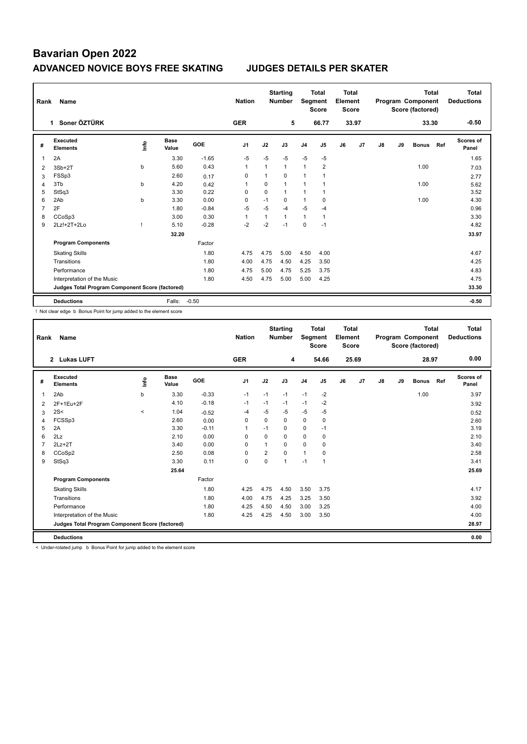|   | Rank<br>Name                                    |      |                      |            |                |              | <b>Starting</b><br><b>Number</b> | Segment        | <b>Total</b><br><b>Score</b> | Total<br>Element<br><b>Score</b> |       |    | Program Component<br>Score (factored) | <b>Total</b> | Total<br><b>Deductions</b> |                           |
|---|-------------------------------------------------|------|----------------------|------------|----------------|--------------|----------------------------------|----------------|------------------------------|----------------------------------|-------|----|---------------------------------------|--------------|----------------------------|---------------------------|
|   | Soner ÖZTÜRK<br>$\mathbf 1$                     |      |                      |            | <b>GER</b>     |              | 5                                |                | 66.77                        |                                  | 33.97 |    |                                       | 33.30        |                            | $-0.50$                   |
| # | Executed<br><b>Elements</b>                     | Info | <b>Base</b><br>Value | <b>GOE</b> | J <sub>1</sub> | J2           | J3                               | J <sub>4</sub> | J5                           | J6                               | J7    | J8 | J9                                    | <b>Bonus</b> | Ref                        | <b>Scores of</b><br>Panel |
| 1 | 2A                                              |      | 3.30                 | $-1.65$    | $-5$           | $-5$         | $-5$                             | $-5$           | $-5$                         |                                  |       |    |                                       |              |                            | 1.65                      |
| 2 | $3Sb+2T$                                        | b    | 5.60                 | 0.43       | $\overline{1}$ | $\mathbf{1}$ | $\mathbf{1}$                     | $\mathbf{1}$   | $\overline{2}$               |                                  |       |    |                                       | 1.00         |                            | 7.03                      |
| 3 | FSSp3                                           |      | 2.60                 | 0.17       | $\Omega$       | 1            | $\Omega$                         | $\mathbf{1}$   |                              |                                  |       |    |                                       |              |                            | 2.77                      |
| 4 | 3Tb                                             | b    | 4.20                 | 0.42       | 1              | 0            | $\mathbf{1}$                     | 1              |                              |                                  |       |    |                                       | 1.00         |                            | 5.62                      |
| 5 | StSq3                                           |      | 3.30                 | 0.22       | $\Omega$       | $\Omega$     | $\mathbf{1}$                     | 1              |                              |                                  |       |    |                                       |              |                            | 3.52                      |
| 6 | 2Ab                                             | b    | 3.30                 | 0.00       | 0              | $-1$         | $\Omega$                         | 1              | 0                            |                                  |       |    |                                       | 1.00         |                            | 4.30                      |
| 7 | 2F                                              |      | 1.80                 | $-0.84$    | $-5$           | $-5$         | -4                               | $-5$           | $-4$                         |                                  |       |    |                                       |              |                            | 0.96                      |
| 8 | CCoSp3                                          |      | 3.00                 | 0.30       | 1              | 1            | 1                                | $\mathbf{1}$   |                              |                                  |       |    |                                       |              |                            | 3.30                      |
| 9 | 2Lz!+2T+2Lo                                     |      | 5.10                 | $-0.28$    | $-2$           | $-2$         | $-1$                             | 0              | $-1$                         |                                  |       |    |                                       |              |                            | 4.82                      |
|   |                                                 |      | 32.20                |            |                |              |                                  |                |                              |                                  |       |    |                                       |              |                            | 33.97                     |
|   | <b>Program Components</b>                       |      |                      | Factor     |                |              |                                  |                |                              |                                  |       |    |                                       |              |                            |                           |
|   | <b>Skating Skills</b>                           |      |                      | 1.80       | 4.75           | 4.75         | 5.00                             | 4.50           | 4.00                         |                                  |       |    |                                       |              |                            | 4.67                      |
|   | Transitions                                     |      |                      | 1.80       | 4.00           | 4.75         | 4.50                             | 4.25           | 3.50                         |                                  |       |    |                                       |              |                            | 4.25                      |
|   | Performance                                     |      |                      | 1.80       | 4.75           | 5.00         | 4.75                             | 5.25           | 3.75                         |                                  |       |    |                                       |              |                            | 4.83                      |
|   | Interpretation of the Music                     |      |                      | 1.80       | 4.50           | 4.75         | 5.00                             | 5.00           | 4.25                         |                                  |       |    |                                       |              |                            | 4.75                      |
|   | Judges Total Program Component Score (factored) |      |                      |            |                |              |                                  |                |                              |                                  |       |    |                                       |              |                            | 33.30                     |
|   | <b>Deductions</b>                               |      | Falls:               | $-0.50$    |                |              |                                  |                |                              |                                  |       |    |                                       |              |                            | $-0.50$                   |

! Not clear edge b Bonus Point for jump added to the element score

| Rank           | <b>Name</b>                                     |         |                      |            | <b>Nation</b>  |                | <b>Starting</b><br><b>Number</b> | Segment        | <b>Total</b><br><b>Score</b> | <b>Total</b><br>Element<br><b>Score</b> |                |    | Program Component<br>Score (factored) | Total        | <b>Total</b><br><b>Deductions</b> |                           |
|----------------|-------------------------------------------------|---------|----------------------|------------|----------------|----------------|----------------------------------|----------------|------------------------------|-----------------------------------------|----------------|----|---------------------------------------|--------------|-----------------------------------|---------------------------|
|                | 2 Lukas LUFT                                    |         |                      |            | <b>GER</b>     |                | 4                                |                | 54.66                        |                                         | 25.69          |    |                                       | 28.97        |                                   | 0.00                      |
| #              | <b>Executed</b><br><b>Elements</b>              | lnfo    | <b>Base</b><br>Value | <b>GOE</b> | J <sub>1</sub> | J2             | J3                               | J <sub>4</sub> | J5                           | J6                                      | J <sub>7</sub> | J8 | J9                                    | <b>Bonus</b> | Ref                               | <b>Scores of</b><br>Panel |
| $\overline{1}$ | 2Ab                                             | b       | 3.30                 | $-0.33$    | $-1$           | $-1$           | $-1$                             | $-1$           | $-2$                         |                                         |                |    |                                       | 1.00         |                                   | 3.97                      |
| 2              | 2F+1Eu+2F                                       |         | 4.10                 | $-0.18$    | $-1$           | $-1$           | $-1$                             | $-1$           | -2                           |                                         |                |    |                                       |              |                                   | 3.92                      |
| 3              | 2S<                                             | $\prec$ | 1.04                 | $-0.52$    | -4             | $-5$           | $-5$                             | $-5$           | $-5$                         |                                         |                |    |                                       |              |                                   | 0.52                      |
| 4              | FCSSp3                                          |         | 2.60                 | 0.00       | $\Omega$       | $\Omega$       | $\Omega$                         | $\mathbf 0$    | 0                            |                                         |                |    |                                       |              |                                   | 2.60                      |
| 5              | 2A                                              |         | 3.30                 | $-0.11$    | $\overline{1}$ | $-1$           | 0                                | 0              | $-1$                         |                                         |                |    |                                       |              |                                   | 3.19                      |
| 6              | 2Lz                                             |         | 2.10                 | 0.00       | $\Omega$       | $\Omega$       | $\Omega$                         | $\Omega$       | 0                            |                                         |                |    |                                       |              |                                   | 2.10                      |
| 7              | $2Lz+2T$                                        |         | 3.40                 | 0.00       | $\Omega$       | 1              | $\Omega$                         | $\Omega$       | 0                            |                                         |                |    |                                       |              |                                   | 3.40                      |
| 8              | CCoSp2                                          |         | 2.50                 | 0.08       | $\Omega$       | $\overline{2}$ | $\Omega$                         | $\mathbf{1}$   | 0                            |                                         |                |    |                                       |              |                                   | 2.58                      |
| 9              | StSq3                                           |         | 3.30                 | 0.11       | 0              | 0              | 1                                | $-1$           | $\mathbf{1}$                 |                                         |                |    |                                       |              |                                   | 3.41                      |
|                |                                                 |         | 25.64                |            |                |                |                                  |                |                              |                                         |                |    |                                       |              |                                   | 25.69                     |
|                | <b>Program Components</b>                       |         |                      | Factor     |                |                |                                  |                |                              |                                         |                |    |                                       |              |                                   |                           |
|                | <b>Skating Skills</b>                           |         |                      | 1.80       | 4.25           | 4.75           | 4.50                             | 3.50           | 3.75                         |                                         |                |    |                                       |              |                                   | 4.17                      |
|                | Transitions                                     |         |                      | 1.80       | 4.00           | 4.75           | 4.25                             | 3.25           | 3.50                         |                                         |                |    |                                       |              |                                   | 3.92                      |
|                | Performance                                     |         |                      | 1.80       | 4.25           | 4.50           | 4.50                             | 3.00           | 3.25                         |                                         |                |    |                                       |              |                                   | 4.00                      |
|                | Interpretation of the Music                     |         |                      | 1.80       | 4.25           | 4.25           | 4.50                             | 3.00           | 3.50                         |                                         |                |    |                                       |              |                                   | 4.00                      |
|                | Judges Total Program Component Score (factored) |         |                      |            |                |                |                                  |                |                              |                                         |                |    |                                       |              |                                   | 28.97                     |
|                | <b>Deductions</b>                               |         |                      |            |                |                |                                  |                |                              |                                         |                |    |                                       |              |                                   | 0.00                      |

< Under-rotated jump b Bonus Point for jump added to the element score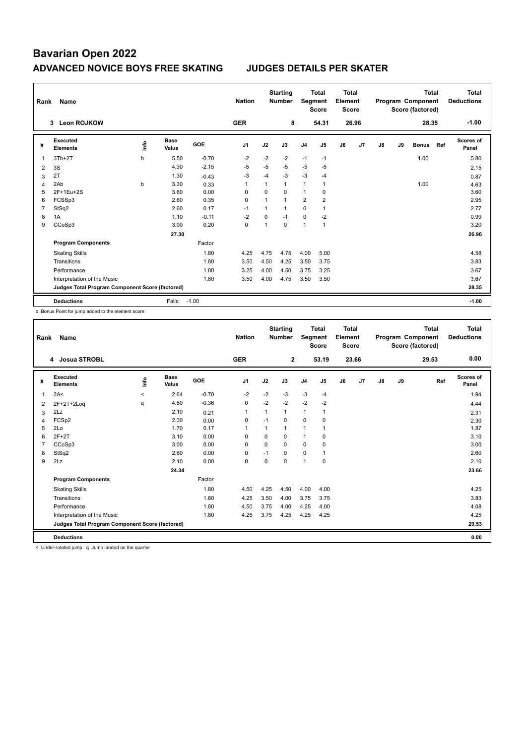| Rank           | Name                                            |    |                      |            | <b>Nation</b>  |          | <b>Starting</b><br><b>Number</b> | Segment        | <b>Total</b><br><b>Score</b> | Total<br>Element<br><b>Score</b> |       |               | Program Component<br>Score (factored) | <b>Total</b> | Total<br><b>Deductions</b> |                           |
|----------------|-------------------------------------------------|----|----------------------|------------|----------------|----------|----------------------------------|----------------|------------------------------|----------------------------------|-------|---------------|---------------------------------------|--------------|----------------------------|---------------------------|
|                | <b>Leon ROJKOW</b><br>$\mathbf{3}$              |    |                      |            | <b>GER</b>     |          | 8                                |                | 54.31                        |                                  | 26.96 |               |                                       | 28.35        |                            | $-1.00$                   |
| #              | Executed<br><b>Elements</b>                     | ۴ů | <b>Base</b><br>Value | <b>GOE</b> | J <sub>1</sub> | J2       | J3                               | J <sub>4</sub> | J <sub>5</sub>               | J6                               | J7    | $\mathsf{J}8$ | J9                                    | <b>Bonus</b> | Ref                        | <b>Scores of</b><br>Panel |
|                | $3Tb+2T$                                        | b  | 5.50                 | $-0.70$    | $-2$           | $-2$     | $-2$                             | $-1$           | $-1$                         |                                  |       |               |                                       | 1.00         |                            | 5.80                      |
| $\overline{2}$ | 3S                                              |    | 4.30                 | $-2.15$    | $-5$           | $-5$     | $-5$                             | $-5$           | $-5$                         |                                  |       |               |                                       |              |                            | 2.15                      |
| 3              | 2T                                              |    | 1.30                 | $-0.43$    | $-3$           | $-4$     | $-3$                             | $-3$           | $-4$                         |                                  |       |               |                                       |              |                            | 0.87                      |
| 4              | 2Ab                                             | b  | 3.30                 | 0.33       | 1              | 1        | $\mathbf{1}$                     | 1              | $\mathbf{1}$                 |                                  |       |               |                                       | 1.00         |                            | 4.63                      |
| 5              | 2F+1Eu+2S                                       |    | 3.60                 | 0.00       | $\Omega$       | $\Omega$ | $\Omega$                         | $\overline{1}$ | $\Omega$                     |                                  |       |               |                                       |              |                            | 3.60                      |
| 6              | FCSSp3                                          |    | 2.60                 | 0.35       | 0              | 1        | $\mathbf{1}$                     | $\overline{2}$ | 2                            |                                  |       |               |                                       |              |                            | 2.95                      |
| 7              | StSq2                                           |    | 2.60                 | 0.17       | $-1$           | 1        | $\mathbf{1}$                     | 0              | $\mathbf{1}$                 |                                  |       |               |                                       |              |                            | 2.77                      |
| 8              | 1A                                              |    | 1.10                 | $-0.11$    | $-2$           | 0        | $-1$                             | $\mathbf 0$    | $-2$                         |                                  |       |               |                                       |              |                            | 0.99                      |
| 9              | CCoSp3                                          |    | 3.00                 | 0.20       | 0              | 1        | 0                                | $\overline{1}$ | $\overline{1}$               |                                  |       |               |                                       |              |                            | 3.20                      |
|                |                                                 |    | 27.30                |            |                |          |                                  |                |                              |                                  |       |               |                                       |              |                            | 26.96                     |
|                | <b>Program Components</b>                       |    |                      | Factor     |                |          |                                  |                |                              |                                  |       |               |                                       |              |                            |                           |
|                | <b>Skating Skills</b>                           |    |                      | 1.80       | 4.25           | 4.75     | 4.75                             | 4.00           | 5.00                         |                                  |       |               |                                       |              |                            | 4.58                      |
|                | Transitions                                     |    |                      | 1.80       | 3.50           | 4.50     | 4.25                             | 3.50           | 3.75                         |                                  |       |               |                                       |              |                            | 3.83                      |
|                | Performance                                     |    |                      | 1.80       | 3.25           | 4.00     | 4.50                             | 3.75           | 3.25                         |                                  |       |               |                                       |              |                            | 3.67                      |
|                | Interpretation of the Music                     |    |                      | 1.80       | 3.50           | 4.00     | 4.75                             | 3.50           | 3.50                         |                                  |       |               |                                       |              |                            | 3.67                      |
|                | Judges Total Program Component Score (factored) |    |                      |            |                |          |                                  |                |                              |                                  |       |               |                                       |              |                            | 28.35                     |
|                | <b>Deductions</b>                               |    | Falls:               | $-1.00$    |                |          |                                  |                |                              |                                  |       |               |                                       |              |                            | $-1.00$                   |

b Bonus Point for jump added to the element score

| Rank | Name                                            |         | <b>Nation</b> |         | <b>Starting</b><br><b>Number</b> | Segment     | <b>Total</b><br><b>Score</b> | <b>Total</b><br>Element<br><b>Score</b> |                | Program Component |       | <b>Total</b><br>Score (factored) | <b>Total</b><br><b>Deductions</b> |       |                    |
|------|-------------------------------------------------|---------|---------------|---------|----------------------------------|-------------|------------------------------|-----------------------------------------|----------------|-------------------|-------|----------------------------------|-----------------------------------|-------|--------------------|
|      | <b>Josua STROBL</b><br>4                        |         |               |         | <b>GER</b>                       |             | $\overline{2}$               |                                         | 53.19          |                   | 23.66 |                                  |                                   | 29.53 | 0.00               |
| #    | Executed<br><b>Elements</b>                     | Info    | Base<br>Value | GOE     | J1                               | J2          | J3                           | J <sub>4</sub>                          | J <sub>5</sub> | J6                | J7    | $\mathsf{J}8$                    | J9                                | Ref   | Scores of<br>Panel |
| 1    | 2A<                                             | $\prec$ | 2.64          | $-0.70$ | $-2$                             | $-2$        | $-3$                         | $-3$                                    | $-4$           |                   |       |                                  |                                   |       | 1.94               |
| 2    | 2F+2T+2Log                                      | q       | 4.80          | $-0.36$ | 0                                | $-2$        | $-2$                         | $-2$                                    | $-2$           |                   |       |                                  |                                   |       | 4.44               |
| 3    | 2Lz                                             |         | 2.10          | 0.21    | 1                                |             | $\mathbf{1}$                 | 1                                       | $\mathbf{1}$   |                   |       |                                  |                                   |       | 2.31               |
| 4    | FCSp2                                           |         | 2.30          | 0.00    | 0                                | $-1$        | $\Omega$                     | $\Omega$                                | $\mathbf 0$    |                   |       |                                  |                                   |       | 2.30               |
| 5    | 2Lo                                             |         | 1.70          | 0.17    | $\overline{1}$                   | 1           | $\mathbf{1}$                 | $\mathbf{1}$                            | $\mathbf{1}$   |                   |       |                                  |                                   |       | 1.87               |
| 6    | $2F+2T$                                         |         | 3.10          | 0.00    | $\Omega$                         | $\Omega$    | $\Omega$                     | $\mathbf{1}$                            | 0              |                   |       |                                  |                                   |       | 3.10               |
|      | CCoSp3                                          |         | 3.00          | 0.00    | $\Omega$                         | 0           | $\Omega$                     | 0                                       | 0              |                   |       |                                  |                                   |       | 3.00               |
| 8    | StSq2                                           |         | 2.60          | 0.00    | $\mathbf 0$                      | $-1$        | $\Omega$                     | $\mathbf 0$                             | $\mathbf{1}$   |                   |       |                                  |                                   |       | 2.60               |
| 9    | 2Lz                                             |         | 2.10          | 0.00    | $\mathbf 0$                      | $\mathbf 0$ | $\mathbf 0$                  | $\mathbf{1}$                            | $\mathbf 0$    |                   |       |                                  |                                   |       | 2.10               |
|      |                                                 |         | 24.34         |         |                                  |             |                              |                                         |                |                   |       |                                  |                                   |       | 23.66              |
|      | <b>Program Components</b>                       |         |               | Factor  |                                  |             |                              |                                         |                |                   |       |                                  |                                   |       |                    |
|      | <b>Skating Skills</b>                           |         |               | 1.80    | 4.50                             | 4.25        | 4.50                         | 4.00                                    | 4.00           |                   |       |                                  |                                   |       | 4.25               |
|      | Transitions                                     |         |               | 1.80    | 4.25                             | 3.50        | 4.00                         | 3.75                                    | 3.75           |                   |       |                                  |                                   |       | 3.83               |
|      | Performance                                     |         |               | 1.80    | 4.50                             | 3.75        | 4.00                         | 4.25                                    | 4.00           |                   |       |                                  |                                   |       | 4.08               |
|      | Interpretation of the Music                     |         |               | 1.80    | 4.25                             | 3.75        | 4.25                         | 4.25                                    | 4.25           |                   |       |                                  |                                   |       | 4.25               |
|      | Judges Total Program Component Score (factored) |         |               |         |                                  |             |                              |                                         |                |                   |       |                                  |                                   |       | 29.53              |
|      | <b>Deductions</b>                               |         |               |         |                                  |             |                              |                                         |                |                   |       |                                  |                                   |       | 0.00               |

< Under-rotated jump q Jump landed on the quarter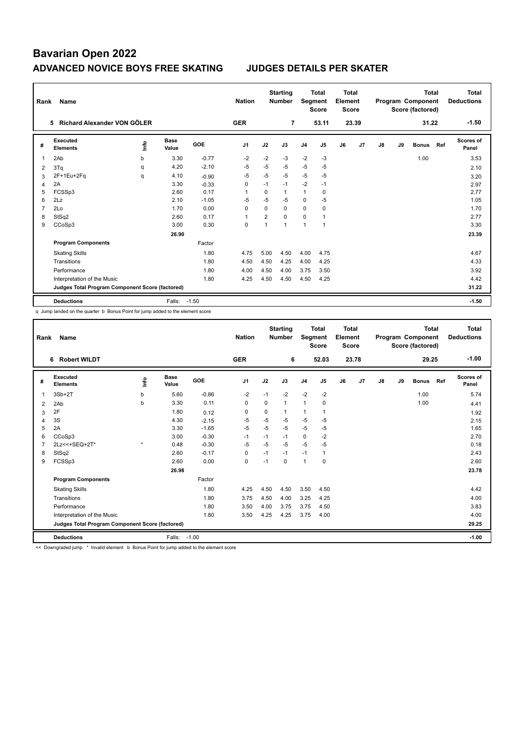| Rank           | Name                                            |      |                      |            |                |                | <b>Starting</b><br><b>Number</b> | Segment        | Total<br><b>Score</b> | Total<br>Element<br><b>Score</b> |       |    | Program Component<br>Score (factored) | <b>Total</b> | Total<br><b>Deductions</b> |                           |
|----------------|-------------------------------------------------|------|----------------------|------------|----------------|----------------|----------------------------------|----------------|-----------------------|----------------------------------|-------|----|---------------------------------------|--------------|----------------------------|---------------------------|
|                | Richard Alexander VON GÖLER<br>5.               |      |                      |            | <b>GER</b>     |                | $\overline{7}$                   |                | 53.11                 |                                  | 23.39 |    |                                       | 31.22        |                            | $-1.50$                   |
| #              | Executed<br><b>Elements</b>                     | ١nfo | <b>Base</b><br>Value | <b>GOE</b> | J <sub>1</sub> | J2             | J3                               | J <sub>4</sub> | J <sub>5</sub>        | J6                               | J7    | J8 | J9                                    | <b>Bonus</b> | Ref                        | <b>Scores of</b><br>Panel |
| 1              | 2Ab                                             | b    | 3.30                 | $-0.77$    | $-2$           | $-2$           | $-3$                             | $-2$           | $-3$                  |                                  |       |    |                                       | 1.00         |                            | 3.53                      |
| 2              | 3Tq                                             | q    | 4.20                 | $-2.10$    | $-5$           | $-5$           | $-5$                             | $-5$           | $-5$                  |                                  |       |    |                                       |              |                            | 2.10                      |
| 3              | 2F+1Eu+2Fq                                      | q    | 4.10                 | $-0.90$    | $-5$           | $-5$           | $-5$                             | $-5$           | $-5$                  |                                  |       |    |                                       |              |                            | 3.20                      |
| 4              | 2A                                              |      | 3.30                 | $-0.33$    | 0              | $-1$           | $-1$                             | $-2$           | $-1$                  |                                  |       |    |                                       |              |                            | 2.97                      |
| 5              | FCSSp3                                          |      | 2.60                 | 0.17       | 1              | $\Omega$       | 1                                | 1              | 0                     |                                  |       |    |                                       |              |                            | 2.77                      |
| 6              | 2Lz                                             |      | 2.10                 | $-1.05$    | $-5$           | $-5$           | $-5$                             | $\mathbf 0$    | $-5$                  |                                  |       |    |                                       |              |                            | 1.05                      |
| $\overline{7}$ | 2Lo                                             |      | 1.70                 | 0.00       | 0              | $\Omega$       | $\Omega$                         | $\mathbf 0$    | 0                     |                                  |       |    |                                       |              |                            | 1.70                      |
| 8              | StSq2                                           |      | 2.60                 | 0.17       | 1              | $\overline{2}$ | $\Omega$                         | $\Omega$       | 1                     |                                  |       |    |                                       |              |                            | 2.77                      |
| 9              | CCoSp3                                          |      | 3.00                 | 0.30       | 0              |                | $\mathbf{1}$                     | $\overline{1}$ | $\mathbf{1}$          |                                  |       |    |                                       |              |                            | 3.30                      |
|                |                                                 |      | 26.90                |            |                |                |                                  |                |                       |                                  |       |    |                                       |              |                            | 23.39                     |
|                | <b>Program Components</b>                       |      |                      | Factor     |                |                |                                  |                |                       |                                  |       |    |                                       |              |                            |                           |
|                | <b>Skating Skills</b>                           |      |                      | 1.80       | 4.75           | 5.00           | 4.50                             | 4.00           | 4.75                  |                                  |       |    |                                       |              |                            | 4.67                      |
|                | Transitions                                     |      |                      | 1.80       | 4.50           | 4.50           | 4.25                             | 4.00           | 4.25                  |                                  |       |    |                                       |              |                            | 4.33                      |
|                | Performance                                     |      |                      | 1.80       | 4.00           | 4.50           | 4.00                             | 3.75           | 3.50                  |                                  |       |    |                                       |              |                            | 3.92                      |
|                | Interpretation of the Music                     |      |                      | 1.80       | 4.25           | 4.50           | 4.50                             | 4.50           | 4.25                  |                                  |       |    |                                       |              |                            | 4.42                      |
|                | Judges Total Program Component Score (factored) |      |                      |            |                |                |                                  |                |                       |                                  |       |    |                                       |              |                            | 31.22                     |
|                | <b>Deductions</b>                               |      | Falls: -1.50         |            |                |                |                                  |                |                       |                                  |       |    |                                       |              |                            | $-1.50$                   |

q Jump landed on the quarter b Bonus Point for jump added to the element score

| Rank | <b>Name</b>                                     |         |                      |         | <b>Nation</b>  |          | <b>Starting</b><br><b>Number</b> | Segment        | Total<br><b>Score</b> | Total<br>Element<br><b>Score</b> |       | <b>Total</b><br>Program Component<br>Score (factored) |    |              |     | <b>Total</b><br><b>Deductions</b> |
|------|-------------------------------------------------|---------|----------------------|---------|----------------|----------|----------------------------------|----------------|-----------------------|----------------------------------|-------|-------------------------------------------------------|----|--------------|-----|-----------------------------------|
|      | <b>Robert WILDT</b><br>6                        |         |                      |         | <b>GER</b>     |          | 6                                |                | 52.03                 |                                  | 23.78 |                                                       |    | 29.25        |     | $-1.00$                           |
| #    | Executed<br><b>Elements</b>                     | Linfo   | <b>Base</b><br>Value | GOE     | J <sub>1</sub> | J2       | J3                               | J <sub>4</sub> | J5                    | J6                               | J7    | J8                                                    | J9 | <b>Bonus</b> | Ref | <b>Scores of</b><br>Panel         |
| 1    | $3Sb+2T$                                        | b       | 5.60                 | $-0.86$ | $-2$           | $-1$     | $-2$                             | $-2$           | $-2$                  |                                  |       |                                                       |    | 1.00         |     | 5.74                              |
| 2    | 2Ab                                             | b       | 3.30                 | 0.11    | $\Omega$       | $\Omega$ | $\mathbf{1}$                     | $\overline{1}$ | 0                     |                                  |       |                                                       |    | 1.00         |     | 4.41                              |
| 3    | 2F                                              |         | 1.80                 | 0.12    | 0              | 0        | 1                                | $\overline{1}$ | 1                     |                                  |       |                                                       |    |              |     | 1.92                              |
| 4    | 3S                                              |         | 4.30                 | $-2.15$ | $-5$           | $-5$     | $-5$                             | $-5$           | $-5$                  |                                  |       |                                                       |    |              |     | 2.15                              |
| 5    | 2A                                              |         | 3.30                 | $-1.65$ | $-5$           | $-5$     | $-5$                             | $-5$           | $-5$                  |                                  |       |                                                       |    |              |     | 1.65                              |
| 6    | CCoSp3                                          |         | 3.00                 | $-0.30$ | -1             | $-1$     | $-1$                             | 0              | $-2$                  |                                  |       |                                                       |    |              |     | 2.70                              |
|      | 2Lz << + SEQ + 2T*                              | $\star$ | 0.48                 | $-0.30$ | $-5$           | $-5$     | $-5$                             | $-5$           | $-5$                  |                                  |       |                                                       |    |              |     | 0.18                              |
| 8    | StSq2                                           |         | 2.60                 | $-0.17$ | $\mathbf 0$    | $-1$     | $-1$                             | $-1$           | 1                     |                                  |       |                                                       |    |              |     | 2.43                              |
| 9    | FCSSp3                                          |         | 2.60                 | 0.00    | $\mathbf 0$    | $-1$     | $\Omega$                         | $\overline{1}$ | 0                     |                                  |       |                                                       |    |              |     | 2.60                              |
|      |                                                 |         | 26.98                |         |                |          |                                  |                |                       |                                  |       |                                                       |    |              |     | 23.78                             |
|      | <b>Program Components</b>                       |         |                      | Factor  |                |          |                                  |                |                       |                                  |       |                                                       |    |              |     |                                   |
|      | <b>Skating Skills</b>                           |         |                      | 1.80    | 4.25           | 4.50     | 4.50                             | 3.50           | 4.50                  |                                  |       |                                                       |    |              |     | 4.42                              |
|      | Transitions                                     |         |                      | 1.80    | 3.75           | 4.50     | 4.00                             | 3.25           | 4.25                  |                                  |       |                                                       |    |              |     | 4.00                              |
|      | Performance                                     |         |                      | 1.80    | 3.50           | 4.00     | 3.75                             | 3.75           | 4.50                  |                                  |       |                                                       |    |              |     | 3.83                              |
|      | Interpretation of the Music                     |         |                      | 1.80    | 3.50           | 4.25     | 4.25                             | 3.75           | 4.00                  |                                  |       |                                                       |    |              |     | 4.00                              |
|      | Judges Total Program Component Score (factored) |         |                      |         |                |          |                                  |                |                       |                                  |       |                                                       |    |              |     | 29.25                             |
|      | <b>Deductions</b>                               |         | Falls:               | $-1.00$ |                |          |                                  |                |                       |                                  |       |                                                       |    |              |     | $-1.00$                           |

<< Downgraded jump \* Invalid element b Bonus Point for jump added to the element score